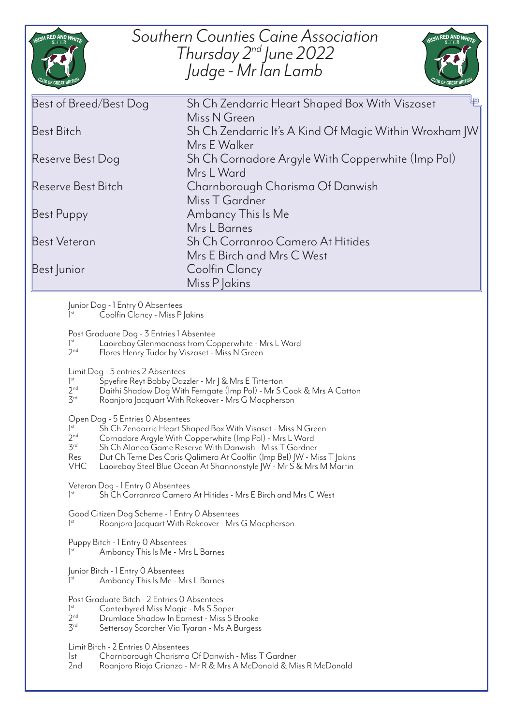| RISH RED AND WHIT                                                                                                                                                                                                                                                                                                                                                                                                                                                                                                                                                                                                                                                                                                                                                                                                                                                                                                                                                                                                                                                                                                                                                                                                                                                                                                                                                                                                                                                                                                                                                                                                                                                                                                                                                                                                                                                                                              | Southern Counties Caine Association<br>RISH RED AND WHIT<br>Thursday $2^{nd}$ June 2022<br>Judge - Mr Ian Lamb                                                                                                                                                    |
|----------------------------------------------------------------------------------------------------------------------------------------------------------------------------------------------------------------------------------------------------------------------------------------------------------------------------------------------------------------------------------------------------------------------------------------------------------------------------------------------------------------------------------------------------------------------------------------------------------------------------------------------------------------------------------------------------------------------------------------------------------------------------------------------------------------------------------------------------------------------------------------------------------------------------------------------------------------------------------------------------------------------------------------------------------------------------------------------------------------------------------------------------------------------------------------------------------------------------------------------------------------------------------------------------------------------------------------------------------------------------------------------------------------------------------------------------------------------------------------------------------------------------------------------------------------------------------------------------------------------------------------------------------------------------------------------------------------------------------------------------------------------------------------------------------------------------------------------------------------------------------------------------------------|-------------------------------------------------------------------------------------------------------------------------------------------------------------------------------------------------------------------------------------------------------------------|
| Best of Breed/Best Dog<br><b>Best Bitch</b><br>Reserve Best Dog<br>Reserve Best Bitch                                                                                                                                                                                                                                                                                                                                                                                                                                                                                                                                                                                                                                                                                                                                                                                                                                                                                                                                                                                                                                                                                                                                                                                                                                                                                                                                                                                                                                                                                                                                                                                                                                                                                                                                                                                                                          | Sh Ch Zendarric Heart Shaped Box With Viszaset<br>Miss N Green<br>Sh Ch Zendarric It's A Kind Of Magic Within Wroxham JW<br>Mrs F Walker<br>Sh Ch Cornadore Argyle With Copperwhite (Imp Pol)<br>Mrs L Ward<br>Charnborough Charisma Of Danwish<br>Miss T Gardner |
| Best Puppy<br><b>Best Veteran</b><br>Best Junior                                                                                                                                                                                                                                                                                                                                                                                                                                                                                                                                                                                                                                                                                                                                                                                                                                                                                                                                                                                                                                                                                                                                                                                                                                                                                                                                                                                                                                                                                                                                                                                                                                                                                                                                                                                                                                                               | Ambancy This Is Me<br>Mrs L Barnes<br>Sh Ch Corranroo Camero At Hitides<br>Mrs E Birch and Mrs C West<br><b>Coolfin Clancy</b><br>Miss P Jakins                                                                                                                   |
| Junior Dog - 1 Entry 0 Absentees<br>Coolfin Clancy - Miss P Jakins<br>1 <sup>st</sup><br>Post Graduate Dog - 3 Entries 1 Absentee<br>Laoirebay Glenmacnass from Copperwhite - Mrs L Ward<br>$]$ <sup>st</sup><br>2 <sub>nd</sub><br>Flores Henry Tudor by Viszaset - Miss N Green<br>Limit Dog - 5 entries 2 Absentees<br>1 <sup>st</sup><br>Spyefire Reyt Bobby Dazzler - Mr J & Mrs E Titterton<br>2 <sub>nd</sub><br>Daithi Shadow Dog With Ferngate (Imp Pol) - Mr S Cook & Mrs A Catton<br>3 <sup>rd</sup><br>Roanjora Jacquart With Rokeover - Mrs G Macpherson<br>Open Dog - 5 Entries 0 Absentees<br>1 <sup>st</sup><br>Sh Ch Zendarric Heart Shaped Box With Visaset - Miss N Green<br>2 <sup>nd</sup><br>Cornadore Argyle With Copperwhite (Imp Pol) - Mrs L Ward<br>3 <sup>rd</sup><br>Sh Ch Alanea Game Reserve With Danwish - Miss T Gardner<br>Dut Ch Terne Des Coris Qalimero At Coolfin (Imp Bel) JW - Miss T Jakins<br>Res<br><b>VHC</b><br>Laoirebay Steel Blue Ocean At Shannonstyle JW - Mr S & Mrs M Martin<br>Veteran Dog - 1 Entry 0 Absentees<br>1 <sup>st</sup><br>Sh Ch Corranroo Camero At Hitides - Mrs E Birch and Mrs C West<br>Good Citizen Dog Scheme - 1 Entry 0 Absentees<br>$]$ <sup>st</sup><br>Roanjora Jacquart With Rokeover - Mrs G Macpherson<br>Puppy Bitch - 1 Entry O Absentees<br>1 <sup>st</sup><br>Ambancy This Is Me - Mrs L Barnes<br>Junior Bitch - 1 Entry 0 Absentees<br>Ambancy This Is Me - Mrs L Barnes<br>$]$ <sup>st</sup><br>Post Graduate Bitch - 2 Entries 0 Absentees<br>1 <sup>st</sup><br>Canterbyred Miss Magic - Ms S Soper<br>2 <sub>nd</sub><br>Drumlace Shadow In Earnest - Miss S Brooke<br>3 <sup>rd</sup><br>Settersay Scorcher Via Tyaran - Ms A Burgess<br>Limit Bitch - 2 Entries O Absentees<br>1st<br>Charnborough Charisma Of Danwish - Miss T Gardner<br>2nd<br>Roanjora Rioja Crianza - Mr R & Mrs A McDonald & Miss R McDonald |                                                                                                                                                                                                                                                                   |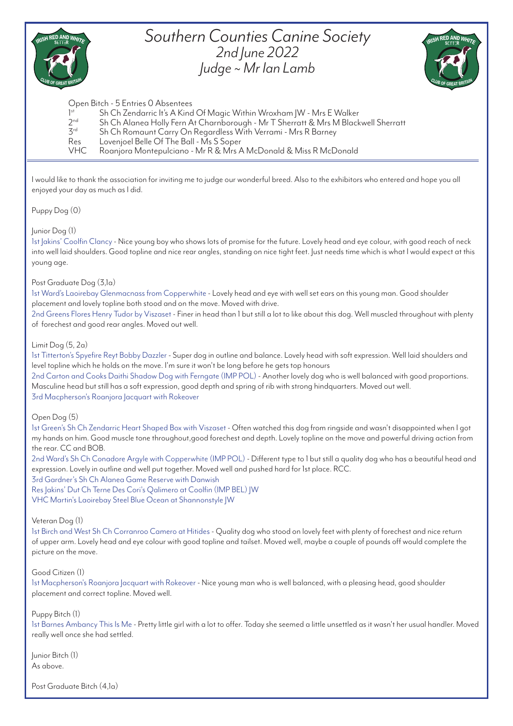

## *Southern Counties Canine Society 2nd June 2022 Judge ~ Mr Ian Lamb*



## Open Bitch - 5 Entries 0 Absentees

- $1<sup>st</sup>$ <br> $2<sup>nd</sup>$ Sh Ch Zendarric It's A Kind Of Magic Within Wroxham | W - Mrs E Walker
- $2^{nd}$  Sh Ch Alanea Holly Fern At Charnborough Mr T Sherratt & Mrs M Blackwell Sherratt<br><sup>3rd</sup> Sh Ch Romaunt Carry On Regardless With Verrami Mrs R Barney
- 3rd Sh Ch Romaunt Carry On Regardless With Verrami Mrs R Barney
- Res Lovenjoel Belle Of The Ball Ms S Soper<br>VHC Roaniora Montepulciano Mr R & Mrs 4

Roanjora Montepulciano - Mr R & Mrs A McDonald & Miss R McDonald

I would like to thank the association for inviting me to judge our wonderful breed. Also to the exhibitors who entered and hope you all enjoyed your day as much as I did.

Puppy Dog (0)

### Junior Dog (1)

1st Jakins' Coolfin Clancy - Nice young boy who shows lots of promise for the future. Lovely head and eye colour, with good reach of neck into well laid shoulders. Good topline and nice rear angles, standing on nice tight feet. Just needs time which is what I would expect at this young age.

### Post Graduate Dog (3,1a)

1st Ward's Laoirebay Glenmacnass from Copperwhite - Lovely head and eye with well set ears on this young man. Good shoulder placement and lovely topline both stood and on the move. Moved with drive.

2nd Greens Flores Henry Tudor by Viszaset - Finer in head than 1 but still a lot to like about this dog. Well muscled throughout with plenty of forechest and good rear angles. Moved out well.

#### Limit Dog (5, 2a)

1st Titterton's Spyefire Reyt Bobby Dazzler - Super dog in outline and balance. Lovely head with soft expression. Well laid shoulders and level topline which he holds on the move. I'm sure it won't be long before he gets top honours

2nd Carton and Cooks Daithi Shadow Dog with Ferngate (IMP POL) - Another lovely dog who is well balanced with good proportions. Masculine head but still has a soft expression, good depth and spring of rib with strong hindquarters. Moved out well. 3rd Macpherson's Roanjora Jacquart with Rokeover

### Open Dog (5)

1st Green's Sh Ch Zendarric Heart Shaped Box with Viszaset - Often watched this dog from ringside and wasn't disappointed when I got my hands on him. Good muscle tone throughout,good forechest and depth. Lovely topline on the move and powerful driving action from the rear. CC and BOB.

2nd Ward's Sh Ch Conadore Argyle with Copperwhite (IMP POL) - Different type to 1 but still a quality dog who has a beautiful head and expression. Lovely in outline and well put together. Moved well and pushed hard for 1st place. RCC.

3rd Gardner's Sh Ch Alanea Game Reserve with Danwish

Res Jakins' Dut Ch Terne Des Cori's Qalimero at Coolfin (IMP BEL) JW VHC Martin's Laoirebay Steel Blue Ocean at Shannonstyle JW

### Veteran Dog (1)

1st Birch and West Sh Ch Corranroo Camero at Hitides - Quality dog who stood on lovely feet with plenty of forechest and nice return of upper arm. Lovely head and eye colour with good topline and tailset. Moved well, maybe a couple of pounds off would complete the picture on the move.

Good Citizen (1)

1st Macpherson's Roanjora Jacquart with Rokeover - Nice young man who is well balanced, with a pleasing head, good shoulder placement and correct topline. Moved well.

### Puppy Bitch (1)

1st Barnes Ambancy This Is Me - Pretty little girl with a lot to offer. Today she seemed a little unsettled as it wasn't her usual handler. Moved really well once she had settled.

Junior Bitch (1) As above.

Post Graduate Bitch (4,1a)